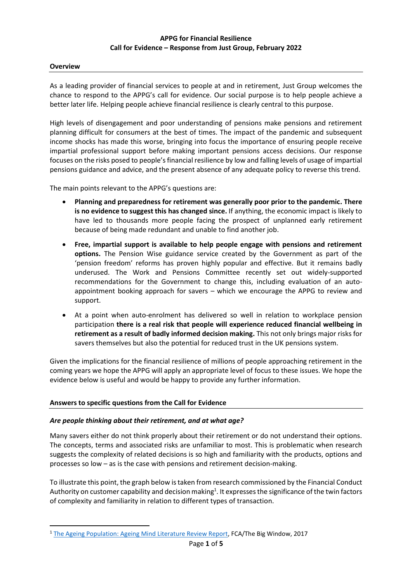#### **Overview**

As a leading provider of financial services to people at and in retirement, Just Group welcomes the chance to respond to the APPG's call for evidence. Our social purpose is to help people achieve a better later life. Helping people achieve financial resilience is clearly central to this purpose.

High levels of disengagement and poor understanding of pensions make pensions and retirement planning difficult for consumers at the best of times. The impact of the pandemic and subsequent income shocks has made this worse, bringing into focus the importance of ensuring people receive impartial professional support before making important pensions access decisions. Our response focuses on the risks posed to people's financial resilience by low and falling levels of usage of impartial pensions guidance and advice, and the present absence of any adequate policy to reverse this trend.

The main points relevant to the APPG's questions are:

- **Planning and preparedness for retirement was generally poor prior to the pandemic. There is no evidence to suggest this has changed since.** If anything, the economic impact is likely to have led to thousands more people facing the prospect of unplanned early retirement because of being made redundant and unable to find another job.
- **Free, impartial support is available to help people engage with pensions and retirement options.** The Pension Wise guidance service created by the Government as part of the 'pension freedom' reforms has proven highly popular and effective. But it remains badly underused. The Work and Pensions Committee recently set out widely-supported recommendations for the Government to change this, including evaluation of an autoappointment booking approach for savers – which we encourage the APPG to review and support.
- At a point when auto-enrolment has delivered so well in relation to workplace pension participation **there is a real risk that people will experience reduced financial wellbeing in retirement as a result of badly informed decision making.** This not only brings major risks for savers themselves but also the potential for reduced trust in the UK pensions system.

Given the implications for the financial resilience of millions of people approaching retirement in the coming years we hope the APPG will apply an appropriate level of focus to these issues. We hope the evidence below is useful and would be happy to provide any further information.

#### **Answers to specific questions from the Call for Evidence**

#### *Are people thinking about their retirement, and at what age?*

Many savers either do not think properly about their retirement or do not understand their options. The concepts, terms and associated risks are unfamiliar to most. This is problematic when research suggests the complexity of related decisions is so high and familiarity with the products, options and processes so low – as is the case with pensions and retirement decision-making.

To illustrate this point, the graph below is taken from research commissioned by the Financial Conduct Authority on customer capability and decision making<sup>1</sup>. It expresses the significance of the twin factors of complexity and familiarity in relation to different types of transaction.

<sup>&</sup>lt;sup>1</sup> [The Ageing Population: Ageing Mind Literature Review Report,](https://www.fca.org.uk/publication/research/ageing-mind-literature.pdf) FCA/The Big Window, 2017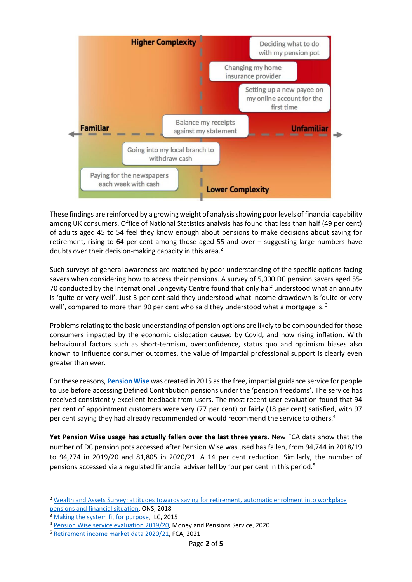

These findings are reinforced by a growing weight of analysis showing poor levels of financial capability among UK consumers. Office of National Statistics analysis has found that less than half (49 per cent) of adults aged 45 to 54 feel they know enough about pensions to make decisions about saving for retirement, rising to 64 per cent among those aged 55 and over – suggesting large numbers have doubts over their decision-making capacity in this area.<sup>2</sup>

Such surveys of general awareness are matched by poor understanding of the specific options facing savers when considering how to access their pensions. A survey of 5,000 DC pension savers aged 55- 70 conducted by the International Longevity Centre found that only half understood what an annuity is 'quite or very well'. Just 3 per cent said they understood what income drawdown is 'quite or very well', compared to more than 90 per cent who said they understood what a mortgage is.<sup>3</sup>

Problems relating to the basic understanding of pension options are likely to be compounded for those consumers impacted by the economic dislocation caused by Covid, and now rising inflation. With behavioural factors such as short-termism, overconfidence, status quo and optimism biases also known to influence consumer outcomes, the value of impartial professional support is clearly even greater than ever.

For these reasons, **[Pension Wise](https://www.moneyhelper.org.uk/en/pensions-and-retirement/pension-wise)** was created in 2015 as the free, impartial guidance service for people to use before accessing Defined Contribution pensions under the 'pension freedoms'. The service has received consistently excellent feedback from users. The most recent user evaluation found that 94 per cent of appointment customers were very (77 per cent) or fairly (18 per cent) satisfied, with 97 per cent saying they had already recommended or would recommend the service to others.<sup>4</sup>

**Yet Pension Wise usage has actually fallen over the last three years.** New FCA data show that the number of DC pension pots accessed after Pension Wise was used has fallen, from 94,744 in 2018/19 to 94,274 in 2019/20 and 81,805 in 2020/21. A 14 per cent reduction. Similarly, the number of pensions accessed via a regulated financial adviser fell by four per cent in this period.<sup>5</sup>

<sup>2</sup> [Wealth and Assets Survey: attitudes towards saving for retirement, automatic enrolment into workplace](https://www.ons.gov.uk/peoplepopulationandcommunity/personalandhouseholdfinances/incomeandwealth/articles/earlyindicatorestimatesfromthewealthandassetssurvey/attitudestowardssavingforretirementautomaticenrolmentintoworkplacepensionscreditcommitmentsanddebtburdenjuly2016todecember2017)  [pensions and financial situation,](https://www.ons.gov.uk/peoplepopulationandcommunity/personalandhouseholdfinances/incomeandwealth/articles/earlyindicatorestimatesfromthewealthandassetssurvey/attitudestowardssavingforretirementautomaticenrolmentintoworkplacepensionscreditcommitmentsanddebtburdenjuly2016todecember2017) ONS, 2018

<sup>&</sup>lt;sup>3</sup> [Making the system fit for purpose,](https://ilcuk.org.uk/wp-content/uploads/2018/10/Making-the-system-fit-for-purpose.pdf) ILC, 2015

<sup>4</sup> [Pension Wise service evaluation](https://moneyandpensionsservice.org.uk/wp-content/uploads/2020/10/Pension-Wise-Service-Evaluation-report-2019-2020.pdf) 2019/20, Money and Pensions Service, 2020

<sup>5</sup> [Retirement income market data 2020/21,](https://www.fca.org.uk/data/retirement-income-market-data-2020-21) FCA, 2021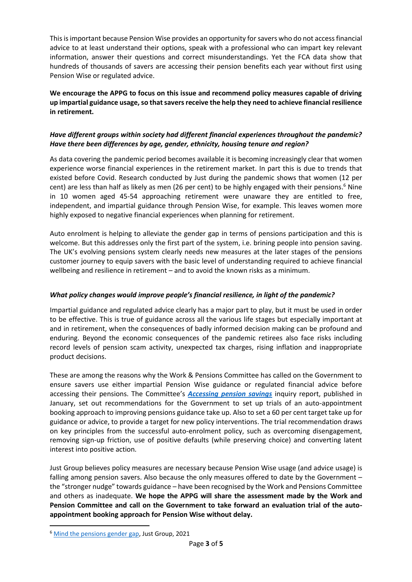This is important because Pension Wise provides an opportunity for savers who do not access financial advice to at least understand their options, speak with a professional who can impart key relevant information, answer their questions and correct misunderstandings. Yet the FCA data show that hundreds of thousands of savers are accessing their pension benefits each year without first using Pension Wise or regulated advice.

**We encourage the APPG to focus on this issue and recommend policy measures capable of driving up impartial guidance usage, so that savers receive the help they need to achieve financial resilience in retirement.** 

# *Have different groups within society had different financial experiences throughout the pandemic? Have there been differences by age, gender, ethnicity, housing tenure and region?*

As data covering the pandemic period becomes available it is becoming increasingly clear that women experience worse financial experiences in the retirement market. In part this is due to trends that existed before Covid. Research conducted by Just during the pandemic shows that women (12 per cent) are less than half as likely as men (26 per cent) to be highly engaged with their pensions. <sup>6</sup> Nine in 10 women aged 45-54 approaching retirement were unaware they are entitled to free, independent, and impartial guidance through Pension Wise, for example. This leaves women more highly exposed to negative financial experiences when planning for retirement.

Auto enrolment is helping to alleviate the gender gap in terms of pensions participation and this is welcome. But this addresses only the first part of the system, i.e. brining people into pension saving. The UK's evolving pensions system clearly needs new measures at the later stages of the pensions customer journey to equip savers with the basic level of understanding required to achieve financial wellbeing and resilience in retirement – and to avoid the known risks as a minimum.

### *What policy changes would improve people's financial resilience, in light of the pandemic?*

Impartial guidance and regulated advice clearly has a major part to play, but it must be used in order to be effective. This is true of guidance across all the various life stages but especially important at and in retirement, when the consequences of badly informed decision making can be profound and enduring. Beyond the economic consequences of the pandemic retirees also face risks including record levels of pension scam activity, unexpected tax charges, rising inflation and inappropriate product decisions.

These are among the reasons why the Work & Pensions Committee has called on the Government to ensure savers use either impartial Pension Wise guidance or regulated financial advice before accessing their pensions. The Committee's *[Accessing pension savings](https://committees.parliament.uk/publications/8514/documents/86189/default/)* inquiry report, published in January, set out recommendations for the Government to set up trials of an auto-appointment booking approach to improving pensions guidance take up. Also to set a 60 per cent target take up for guidance or advice, to provide a target for new policy interventions. The trial recommendation draws on key principles from the successful auto-enrolment policy, such as overcoming disengagement, removing sign-up friction, use of positive defaults (while preserving choice) and converting latent interest into positive action.

Just Group believes policy measures are necessary because Pension Wise usage (and advice usage) is falling among pension savers. Also because the only measures offered to date by the Government – the "stronger nudge" towards guidance – have been recognised by the Work and Pensions Committee and others as inadequate. **We hope the APPG will share the assessment made by the Work and Pension Committee and call on the Government to take forward an evaluation trial of the autoappointment booking approach for Pension Wise without delay.**

<sup>&</sup>lt;sup>6</sup> [Mind the pensions gender gap,](https://www.justgroupplc.co.uk/~/media/Files/J/JRMS-IR/news-doc/2021/fca-data-shows-pension-communications-failing-to-engage-higher-numbers-of-women-than-men.pdf) Just Group, 2021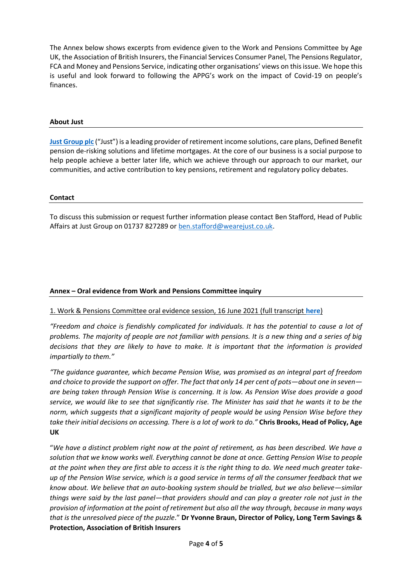The Annex below shows excerpts from evidence given to the Work and Pensions Committee by Age UK, the Association of British Insurers, the Financial Services Consumer Panel, The Pensions Regulator, FCA and Money and Pensions Service, indicating other organisations' views on this issue. We hope this is useful and look forward to following the APPG's work on the impact of Covid-19 on people's finances.

#### **About Just**

**[Just Group plc](https://www.justgroupplc.co.uk/)** ("Just") is a leading provider of retirement income solutions, care plans, Defined Benefit pension de-risking solutions and lifetime mortgages. At the core of our business is a social purpose to help people achieve a better later life, which we achieve through our approach to our market, our communities, and active contribution to key pensions, retirement and regulatory policy debates.

#### **Contact**

To discuss this submission or request further information please contact Ben Stafford, Head of Public Affairs at Just Group on 01737 827289 or [ben.stafford@wearejust.co.uk.](mailto:ben.stafford@wearejust.co.uk)

# **Annex – Oral evidence from Work and Pensions Committee inquiry**

### 1. Work & Pensions Committee oral evidence session, 16 June 2021 (full transcript **[here](https://committees.parliament.uk/oralevidence/2370/pdf/)**)

*"Freedom and choice is fiendishly complicated for individuals. It has the potential to cause a lot of problems. The majority of people are not familiar with pensions. It is a new thing and a series of big decisions that they are likely to have to make. It is important that the information is provided impartially to them."*

*"The guidance guarantee, which became Pension Wise, was promised as an integral part of freedom and choice to provide the support on offer. The fact that only 14 per cent of pots—about one in seven are being taken through Pension Wise is concerning. It is low. As Pension Wise does provide a good service, we would like to see that significantly rise. The Minister has said that he wants it to be the norm, which suggests that a significant majority of people would be using Pension Wise before they take their initial decisions on accessing. There is a lot of work to do."* **Chris Brooks, Head of Policy, Age UK**

"*We have a distinct problem right now at the point of retirement, as has been described. We have a solution that we know works well. Everything cannot be done at once. Getting Pension Wise to people at the point when they are first able to access it is the right thing to do. We need much greater takeup of the Pension Wise service, which is a good service in terms of all the consumer feedback that we know about. We believe that an auto-booking system should be trialled, but we also believe—similar things were said by the last panel—that providers should and can play a greater role not just in the provision of information at the point of retirement but also all the way through, because in many ways that is the unresolved piece of the puzzle*." **Dr Yvonne Braun, Director of Policy, Long Term Savings & Protection, Association of British Insurers**